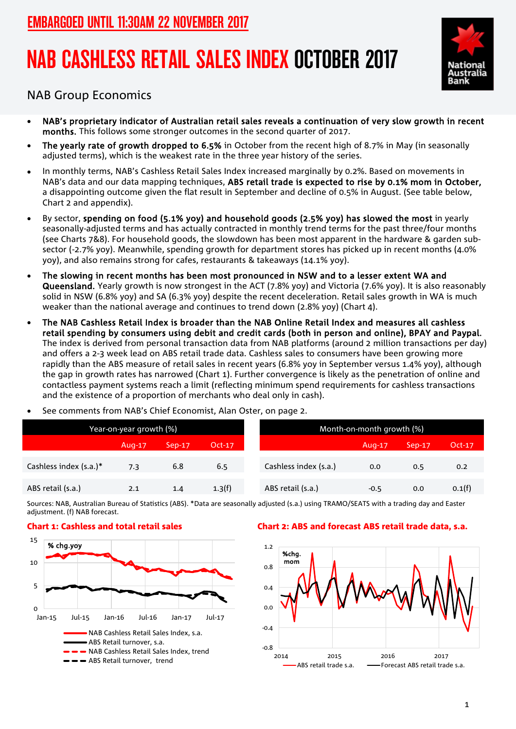# NAB CASHLESS RETAIL SALES INDEX OCTOBER 2017



NAB Group Economics

- NAB's proprietary indicator of Australian retail sales reveals a continuation of very slow growth in recent months. This follows some stronger outcomes in the second quarter of 2017.
- The yearly rate of growth dropped to 6.5% in October from the recent high of 8.7% in May (in seasonally adjusted terms), which is the weakest rate in the three year history of the series.
- In monthly terms, NAB's Cashless Retail Sales Index increased marginally by 0.2%. Based on movements in NAB's data and our data mapping techniques, ABS retail trade is expected to rise by 0.1% mom in October, a disappointing outcome given the flat result in September and decline of 0.5% in August. (See table below, Chart 2 and appendix).
- By sector, spending on food (5.1% yoy) and household goods (2.5% yoy) has slowed the most in yearly seasonally-adjusted terms and has actually contracted in monthly trend terms for the past three/four months (see Charts 7&8). For household goods, the slowdown has been most apparent in the hardware & garden subsector (-2.7% yoy). Meanwhile, spending growth for department stores has picked up in recent months (4.0% yoy), and also remains strong for cafes, restaurants & takeaways (14.1% yoy).
- The slowing in recent months has been most pronounced in NSW and to a lesser extent WA and Queensland. Yearly growth is now strongest in the ACT (7.8% yoy) and Victoria (7.6% yoy). It is also reasonably solid in NSW (6.8% yoy) and SA (6.3% yoy) despite the recent deceleration. Retail sales growth in WA is much weaker than the national average and continues to trend down (2.8% yoy) (Chart 4).
- The NAB Cashless Retail Index is broader than the NAB Online Retail Index and measures all cashless retail spending by consumers using debit and credit cards (both in person and online), BPAY and Paypal. The index is derived from personal transaction data from NAB platforms (around 2 million transactions per day) and offers a 2-3 week lead on ABS retail trade data. Cashless sales to consumers have been growing more rapidly than the ABS measure of retail sales in recent years (6.8% yoy in September versus 1.4% yoy), although the gap in growth rates has narrowed (Chart 1). Further convergence is likely as the penetration of online and contactless payment systems reach a limit (reflecting minimum spend requirements for cashless transactions and the existence of a proportion of merchants who deal only in cash).
- See comments from NAB's Chief Economist, Alan Oster, on page 2.

| Year-on-year growth (%) |        |          |        | Month-on-month growth (%) |        |          |        |
|-------------------------|--------|----------|--------|---------------------------|--------|----------|--------|
|                         | Aug-17 | $Sep-17$ | Oct-17 |                           | Aug-17 | $Sep-17$ | Oct-17 |
| Cashless index (s.a.)*  | 7.3    | 6.8      | 6.5    | Cashless index (s.a.)     | 0.0    | 0.5      | 0.2    |
| ABS retail (s.a.)       | 2.1    | 1.4      | 1.3(f) | ABS retail (s.a.)         | $-0.5$ | 0.0      | 0.1(f) |

Sources: NAB, Australian Bureau of Statistics (ABS). \*Data are seasonally adjusted (s.a.) using TRAMO/SEATS with a trading day and Easter adjustment. (f) NAB forecast.



## Chart 1: Cashless and total retail sales Chart 2: ABS and forecast ABS retail trade data, s.a.

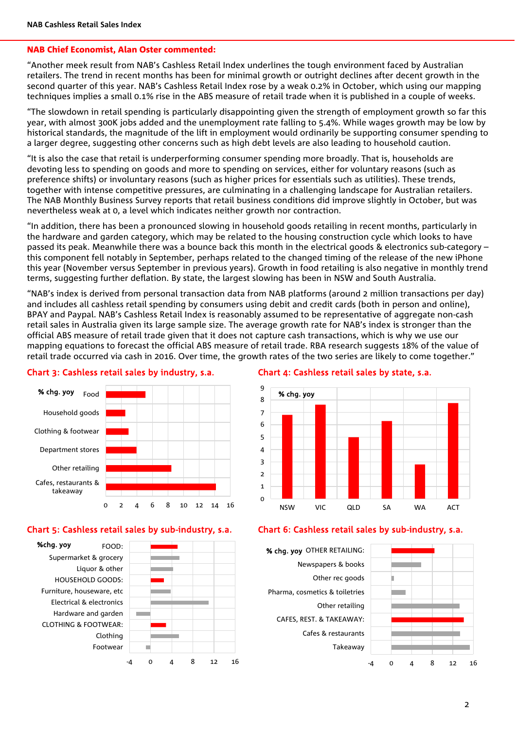### NAB Chief Economist, Alan Oster commented:

"Another meek result from NAB's Cashless Retail Index underlines the tough environment faced by Australian retailers. The trend in recent months has been for minimal growth or outright declines after decent growth in the second quarter of this year. NAB's Cashless Retail Index rose by a weak 0.2% in October, which using our mapping techniques implies a small 0.1% rise in the ABS measure of retail trade when it is published in a couple of weeks.

"The slowdown in retail spending is particularly disappointing given the strength of employment growth so far this year, with almost 300K jobs added and the unemployment rate falling to 5.4%. While wages growth may be low by historical standards, the magnitude of the lift in employment would ordinarily be supporting consumer spending to a larger degree, suggesting other concerns such as high debt levels are also leading to household caution.

"It is also the case that retail is underperforming consumer spending more broadly. That is, households are devoting less to spending on goods and more to spending on services, either for voluntary reasons (such as preference shifts) or involuntary reasons (such as higher prices for essentials such as utilities). These trends, together with intense competitive pressures, are culminating in a challenging landscape for Australian retailers. The NAB Monthly Business Survey reports that retail business conditions did improve slightly in October, but was nevertheless weak at 0, a level which indicates neither growth nor contraction.

"In addition, there has been a pronounced slowing in household goods retailing in recent months, particularly in the hardware and garden category, which may be related to the housing construction cycle which looks to have passed its peak. Meanwhile there was a bounce back this month in the electrical goods & electronics sub-category – this component fell notably in September, perhaps related to the changed timing of the release of the new iPhone this year (November versus September in previous years). Growth in food retailing is also negative in monthly trend terms, suggesting further deflation. By state, the largest slowing has been in NSW and South Australia.

"NAB's index is derived from personal transaction data from NAB platforms (around 2 million transactions per day) and includes all cashless retail spending by consumers using debit and credit cards (both in person and online), BPAY and Paypal. NAB's Cashless Retail Index is reasonably assumed to be representative of aggregate non-cash retail sales in Australia given its large sample size. The average growth rate for NAB's index is stronger than the official ABS measure of retail trade given that it does not capture cash transactions, which is why we use our mapping equations to forecast the official ABS measure of retail trade. RBA research suggests 18% of the value of retail trade occurred via cash in 2016. Over time, the growth rates of the two series are likely to come together."



## Chart 3: Cashless retail sales by industry, s.a. Chart 4: Cashless retail sales by state, s.a.





## Chart 5: Cashless retail sales by sub-industry, s.a. Chart 6: Cashless retail sales by sub-industry, s.a.

Takeaway Cafes & restaurants CAFES, REST. & TAKEAWAY: Other retailing Pharma, cosmetics & toiletries Other rec goods Newspapers & books % chg. yoy OTHER RETAILING:

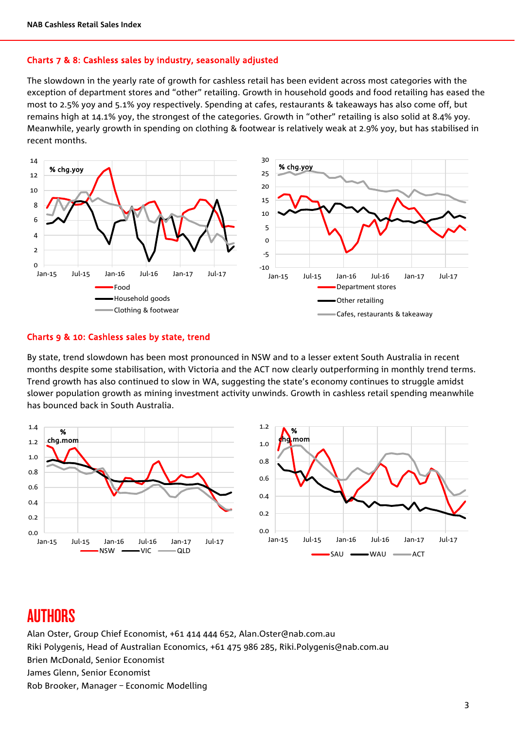### Charts 7 & 8: Cashless sales by industry, seasonally adjusted

The slowdown in the yearly rate of growth for cashless retail has been evident across most categories with the exception of department stores and "other" retailing. Growth in household goods and food retailing has eased the most to 2.5% yoy and 5.1% yoy respectively. Spending at cafes, restaurants & takeaways has also come off, but remains high at 14.1% yoy, the strongest of the categories. Growth in "other" retailing is also solid at 8.4% yoy. Meanwhile, yearly growth in spending on clothing & footwear is relatively weak at 2.9% yoy, but has stabilised in recent months.



## Charts 9 & 10: Cashless sales by state, trend

By state, trend slowdown has been most pronounced in NSW and to a lesser extent South Australia in recent months despite some stabilisation, with Victoria and the ACT now clearly outperforming in monthly trend terms. Trend growth has also continued to slow in WA, suggesting the state's economy continues to struggle amidst slower population growth as mining investment activity unwinds. Growth in cashless retail spending meanwhile has bounced back in South Australia.



## AUTHORS

Alan Oster, Group Chief Economist, +61 414 444 652, Alan.Oster@nab.com.au Riki Polygenis, Head of Australian Economics, +61 475 986 285, Riki.Polygenis@nab.com.au Brien McDonald, Senior Economist James Glenn, Senior Economist Rob Brooker, Manager – Economic Modelling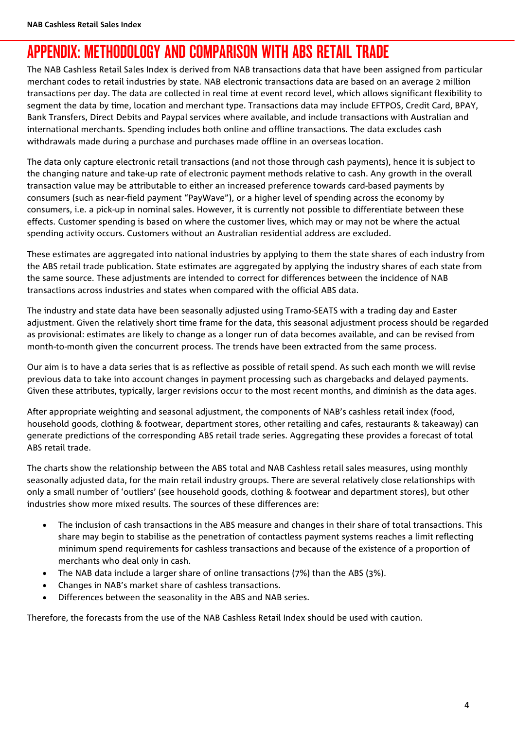## APPENDIX: METHODOLOGY AND COMPARISON WITH ABS RETAIL TRADE

The NAB Cashless Retail Sales Index is derived from NAB transactions data that have been assigned from particular merchant codes to retail industries by state. NAB electronic transactions data are based on an average 2 million transactions per day. The data are collected in real time at event record level, which allows significant flexibility to segment the data by time, location and merchant type. Transactions data may include EFTPOS, Credit Card, BPAY, Bank Transfers, Direct Debits and Paypal services where available, and include transactions with Australian and international merchants. Spending includes both online and offline transactions. The data excludes cash withdrawals made during a purchase and purchases made offline in an overseas location.

The data only capture electronic retail transactions (and not those through cash payments), hence it is subject to the changing nature and take-up rate of electronic payment methods relative to cash. Any growth in the overall transaction value may be attributable to either an increased preference towards card-based payments by consumers (such as near-field payment "PayWave"), or a higher level of spending across the economy by consumers, i.e. a pick-up in nominal sales. However, it is currently not possible to differentiate between these effects. Customer spending is based on where the customer lives, which may or may not be where the actual spending activity occurs. Customers without an Australian residential address are excluded.

These estimates are aggregated into national industries by applying to them the state shares of each industry from the ABS retail trade publication. State estimates are aggregated by applying the industry shares of each state from the same source. These adjustments are intended to correct for differences between the incidence of NAB transactions across industries and states when compared with the official ABS data.

The industry and state data have been seasonally adjusted using Tramo-SEATS with a trading day and Easter adjustment. Given the relatively short time frame for the data, this seasonal adjustment process should be regarded as provisional: estimates are likely to change as a longer run of data becomes available, and can be revised from month-to-month given the concurrent process. The trends have been extracted from the same process.

Our aim is to have a data series that is as reflective as possible of retail spend. As such each month we will revise previous data to take into account changes in payment processing such as chargebacks and delayed payments. Given these attributes, typically, larger revisions occur to the most recent months, and diminish as the data ages.

After appropriate weighting and seasonal adjustment, the components of NAB's cashless retail index (food, household goods, clothing & footwear, department stores, other retailing and cafes, restaurants & takeaway) can generate predictions of the corresponding ABS retail trade series. Aggregating these provides a forecast of total ABS retail trade.

The charts show the relationship between the ABS total and NAB Cashless retail sales measures, using monthly seasonally adjusted data, for the main retail industry groups. There are several relatively close relationships with only a small number of 'outliers' (see household goods, clothing & footwear and department stores), but other industries show more mixed results. The sources of these differences are:

- The inclusion of cash transactions in the ABS measure and changes in their share of total transactions. This share may begin to stabilise as the penetration of contactless payment systems reaches a limit reflecting minimum spend requirements for cashless transactions and because of the existence of a proportion of merchants who deal only in cash.
- The NAB data include a larger share of online transactions (7%) than the ABS (3%).
- Changes in NAB's market share of cashless transactions.
- Differences between the seasonality in the ABS and NAB series.

Therefore, the forecasts from the use of the NAB Cashless Retail Index should be used with caution.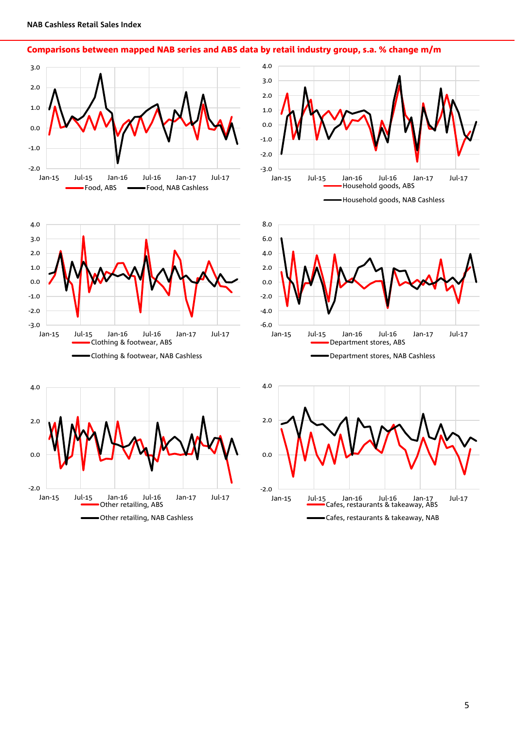

Comparisons between mapped NAB series and ABS data by retail industry group, s.a. % change m/m